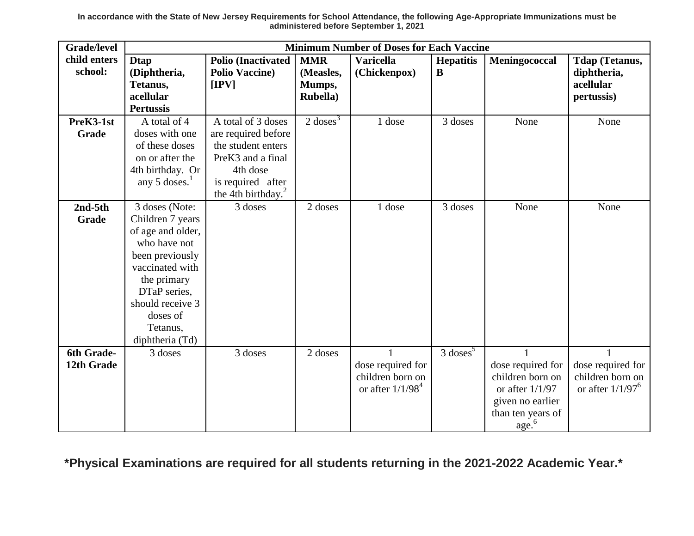**In accordance with the State of New Jersey Requirements for School Attendance, the following Age-Appropriate Immunizations must be administered before September 1, 2021**

| <b>Grade/level</b> | <b>Minimum Number of Doses for Each Vaccine</b> |                               |                     |                                       |                        |                   |                                       |
|--------------------|-------------------------------------------------|-------------------------------|---------------------|---------------------------------------|------------------------|-------------------|---------------------------------------|
| child enters       | <b>Dtap</b>                                     | <b>Polio (Inactivated)</b>    | <b>MMR</b>          | <b>Varicella</b>                      | <b>Hepatitis</b>       | Meningococcal     | <b>Tdap (Tetanus,</b>                 |
| school:            | (Diphtheria,                                    | <b>Polio Vaccine)</b>         | (Measles,           | (Chickenpox)                          | B                      |                   | diphtheria,                           |
|                    | Tetanus,                                        | [IPV]                         | Mumps,              |                                       |                        |                   | acellular                             |
|                    | acellular                                       |                               | Rubella)            |                                       |                        |                   | pertussis)                            |
|                    | <b>Pertussis</b>                                |                               |                     |                                       |                        |                   |                                       |
| PreK3-1st          | A total of 4                                    | A total of 3 doses            | $2 \text{ doses}^3$ | 1 dose                                | 3 doses                | None              | None                                  |
| Grade              | doses with one                                  | are required before           |                     |                                       |                        |                   |                                       |
|                    | of these doses                                  | the student enters            |                     |                                       |                        |                   |                                       |
|                    | on or after the                                 | PreK <sub>3</sub> and a final |                     |                                       |                        |                   |                                       |
|                    | 4th birthday. Or                                | 4th dose                      |                     |                                       |                        |                   |                                       |
|                    | any 5 doses. $1$                                | is required after             |                     |                                       |                        |                   |                                       |
|                    |                                                 | the 4th birthday. $^{2}$      |                     |                                       |                        |                   |                                       |
| $2nd-5th$          | 3 doses (Note:                                  | 3 doses                       | 2 doses             | 1 dose                                | 3 doses                | None              | None                                  |
| Grade              | Children 7 years                                |                               |                     |                                       |                        |                   |                                       |
|                    | of age and older,                               |                               |                     |                                       |                        |                   |                                       |
|                    | who have not                                    |                               |                     |                                       |                        |                   |                                       |
|                    | been previously                                 |                               |                     |                                       |                        |                   |                                       |
|                    | vaccinated with                                 |                               |                     |                                       |                        |                   |                                       |
|                    | the primary                                     |                               |                     |                                       |                        |                   |                                       |
|                    | DTaP series,                                    |                               |                     |                                       |                        |                   |                                       |
|                    | should receive 3                                |                               |                     |                                       |                        |                   |                                       |
|                    | doses of                                        |                               |                     |                                       |                        |                   |                                       |
|                    | Tetanus,                                        |                               |                     |                                       |                        |                   |                                       |
| 6th Grade-         | diphtheria (Td)                                 | 3 doses                       | 2 doses             |                                       | $3$ doses <sup>5</sup> |                   |                                       |
| 12th Grade         | 3 doses                                         |                               |                     |                                       |                        | dose required for |                                       |
|                    |                                                 |                               |                     | dose required for<br>children born on |                        | children born on  | dose required for<br>children born on |
|                    |                                                 |                               |                     | or after $1/1/984$                    |                        | or after $1/1/97$ | or after $1/1/97^{\circ}$             |
|                    |                                                 |                               |                     |                                       |                        | given no earlier  |                                       |
|                    |                                                 |                               |                     |                                       |                        | than ten years of |                                       |
|                    |                                                 |                               |                     |                                       |                        | $\text{age}^6$    |                                       |

**\*Physical Examinations are required for all students returning in the 2021-2022 Academic Year.\***